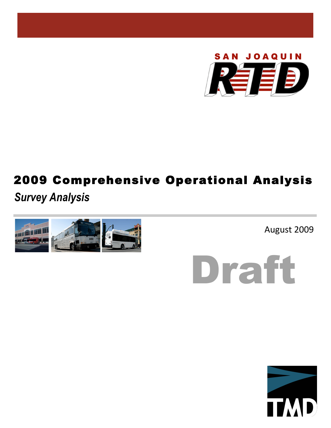

# 2009 Comprehensive Operational Analysis

*Survey Analysis*



August 2009

Draft

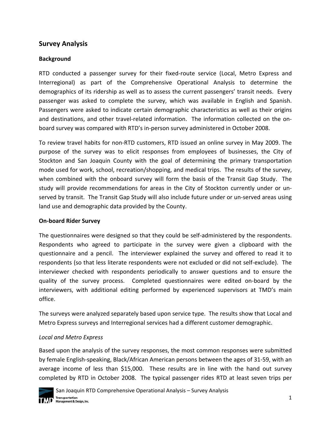## **Survey Analysis**

## **Background**

RTD conducted a passenger survey for their fixed‐route service (Local, Metro Express and Interregional) as part of the Comprehensive Operational Analysis to determine the demographics of its ridership as well as to assess the current passengers' transit needs. Every passenger was asked to complete the survey, which was available in English and Spanish. Passengers were asked to indicate certain demographic characteristics as well as their origins and destinations, and other travel-related information. The information collected on the onboard survey was compared with RTD's in‐person survey administered in October 2008.

To review travel habits for non‐RTD customers, RTD issued an online survey in May 2009. The purpose of the survey was to elicit responses from employees of businesses, the City of Stockton and San Joaquin County with the goal of determining the primary transportation mode used for work, school, recreation/shopping, and medical trips. The results of the survey, when combined with the onboard survey will form the basis of the Transit Gap Study. The study will provide recommendations for areas in the City of Stockton currently under or un‐ served by transit. The Transit Gap Study will also include future under or un‐served areas using land use and demographic data provided by the County.

## **On‐board Rider Survey**

The questionnaires were designed so that they could be self‐administered by the respondents. Respondents who agreed to participate in the survey were given a clipboard with the questionnaire and a pencil. The interviewer explained the survey and offered to read it to respondents (so that less literate respondents were not excluded or did not self‐exclude). The interviewer checked with respondents periodically to answer questions and to ensure the quality of the survey process. Completed questionnaires were edited on‐board by the interviewers, with additional editing performed by experienced supervisors at TMD's main office.

The surveys were analyzed separately based upon service type. The results show that Local and Metro Express surveys and Interregional services had a different customer demographic.

## *Local and Metro Express*

Based upon the analysis of the survey responses, the most common responses were submitted by female English‐speaking, Black/African American persons between the ages of 31‐59, with an average income of less than \$15,000. These results are in line with the hand out survey completed by RTD in October 2008. The typical passenger rides RTD at least seven trips per

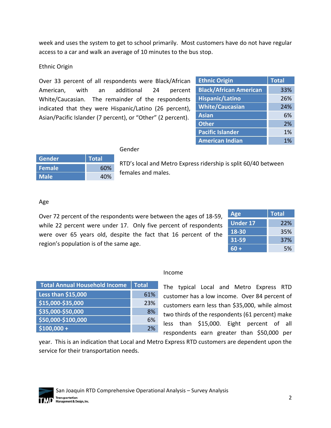week and uses the system to get to school primarily. Most customers have do not have regular access to a car and walk an average of 10 minutes to the bus stop.

## Ethnic Origin

Over 33 percent of all respondents were Black/African American, with an additional 24 percent White/Caucasian. The remainder of the respondents indicated that they were Hispanic/Latino (26 percent), Asian/Pacific Islander (7 percent), or "Other" (2 percent).

| <b>Ethnic Origin</b>          | <b>Total</b> |
|-------------------------------|--------------|
| <b>Black/African American</b> | 33%          |
| <b>Hispanic/Latino</b>        | 26%          |
| <b>White/Caucasian</b>        | 24%          |
| <b>Asian</b>                  | 6%           |
| <b>Other</b>                  | 2%           |
| <b>Pacific Islander</b>       | 1%           |
| <b>American Indian</b>        | 1%           |

#### Gender

| Gender        | <b>Total</b> |
|---------------|--------------|
| <b>Female</b> | 60%          |
| <b>Male</b>   | 40%          |

RTD's local and Metro Express ridership is split 60/40 between females and males.

## Age

Over 72 percent of the respondents were between the ages of 18‐59, while 22 percent were under 17. Only five percent of respondents were over 65 years old, despite the fact that 16 percent of the region's population is of the same age.

| <b>Age</b>      | <b>Total</b> |
|-----------------|--------------|
| <b>Under 17</b> | 22%          |
| $18 - 30$       | 35%          |
| 31-59           | 37%          |
| $60 +$          | 5%           |

| <b>Total Annual Household Income</b> | <b>Total</b> |
|--------------------------------------|--------------|
| Less than \$15,000                   | 61%          |
| \$15,000-\$35,000                    | 23%          |
| \$35,000-\$50,000                    | 8%           |
| \$50,000-\$100,000                   | 6%           |
| $$100,000 +$                         | 7%           |

#### Income

The typical Local and Metro Express RTD customer has a low income. Over 84 percent of customers earn less than \$35,000, while almost two thirds of the respondents (61 percent) make less than \$15,000. Eight percent of all respondents earn greater than \$50,000 per

year. This is an indication that Local and Metro Express RTD customers are dependent upon the service for their transportation needs.

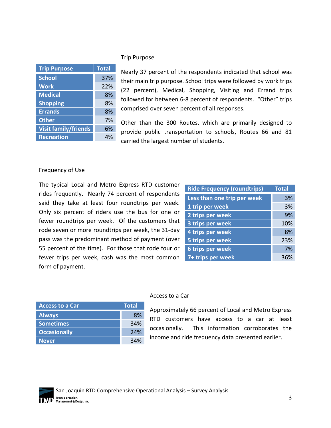| <b>Trip Purpose</b>         | <b>Total</b> |
|-----------------------------|--------------|
| <b>School</b>               | 37%          |
| <b>Work</b>                 | 22%          |
| <b>Medical</b>              | 8%           |
| <b>Shopping</b>             | 8%           |
| <b>Errands</b>              | 8%           |
| <b>Other</b>                | 7%           |
| <b>Visit family/friends</b> | 6%           |
| <b>Recreation</b>           | 4%           |

#### Trip Purpose

Nearly 37 percent of the respondents indicated that school was their main trip purpose. School trips were followed by work trips (22 percent), Medical, Shopping, Visiting and Errand trips followed for between 6‐8 percent of respondents. "Other" trips comprised over seven percent of all responses.

Other than the 300 Routes, which are primarily designed to provide public transportation to schools, Routes 66 and 81 carried the largest number of students.

#### Frequency of Use

The typical Local and Metro Express RTD customer rides frequently. Nearly 74 percent of respondents said they take at least four roundtrips per week. Only six percent of riders use the bus for one or fewer roundtrips per week. Of the customers that rode seven or more roundtrips per week, the 31‐day pass was the predominant method of payment (over 55 percent of the time). For those that rode four or fewer trips per week, cash was the most common form of payment.

| <b>Ride Frequency (roundtrips)</b> | <b>Total</b> |
|------------------------------------|--------------|
| Less than one trip per week        | 3%           |
| 1 trip per week                    | 3%           |
| 2 trips per week                   | 9%           |
| 3 trips per week                   | 10%          |
| 4 trips per week                   | 8%           |
| 5 trips per week                   | 23%          |
| 6 trips per week                   | 7%           |
| 7+ trips per week                  | 36%          |

| <b>Access to a Car</b> | <b>Total</b> |
|------------------------|--------------|
| <b>Always</b>          | 8%           |
| <b>Sometimes</b>       | 34%          |
| <b>Occasionally</b>    | 24%          |
| <b>Never</b>           | 34%          |

#### Access to a Car

Approximately 66 percent of Local and Metro Express RTD customers have access to a car at least occasionally. This information corroborates the income and ride frequency data presented earlier.

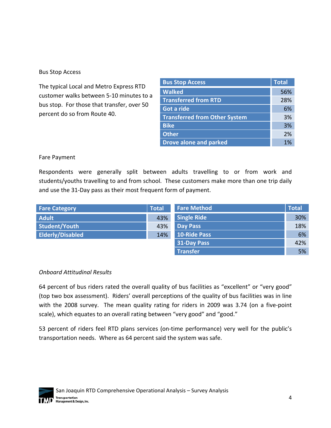## Bus Stop Access

The typical Local and Metro Express RTD customer walks between 5‐10 minutes to a bus stop. For those that transfer, over 50 percent do so from Route 40.

| <b>Bus Stop Access</b>               | <b>Total</b> |
|--------------------------------------|--------------|
| <b>Walked</b>                        | 56%          |
| <b>Transferred from RTD</b>          | 28%          |
| Got a ride                           | 6%           |
| <b>Transferred from Other System</b> | 3%           |
| <b>Bike</b>                          | 3%           |
| <b>Other</b>                         | 2%           |
| <b>Drove alone and parked</b>        | 1%           |

## Fare Payment

Respondents were generally split between adults travelling to or from work and students/youths travelling to and from school. These customers make more than one trip daily and use the 31‐Day pass as their most frequent form of payment.

| <b>Fare Category</b>    | <b>Total</b> | <b>Fare Method</b>  | <b>Total</b> |
|-------------------------|--------------|---------------------|--------------|
| <b>Adult</b>            | 43%          | <b>Single Ride</b>  | 30%          |
| Student/Youth           | 43%          | <b>Day Pass</b>     | 18%          |
| <b>Elderly/Disabled</b> | 14%          | <b>10-Ride Pass</b> | 6%           |
|                         |              | <b>31-Day Pass</b>  | 42%          |
|                         |              | <b>Transfer</b>     | 5%           |

## *Onboard Attitudinal Results*

64 percent of bus riders rated the overall quality of bus facilities as "excellent" or "very good" (top two box assessment). Riders' overall perceptions of the quality of bus facilities was in line with the 2008 survey. The mean quality rating for riders in 2009 was 3.74 (on a five-point scale), which equates to an overall rating between "very good" and "good."

53 percent of riders feel RTD plans services (on-time performance) very well for the public's transportation needs. Where as 64 percent said the system was safe.

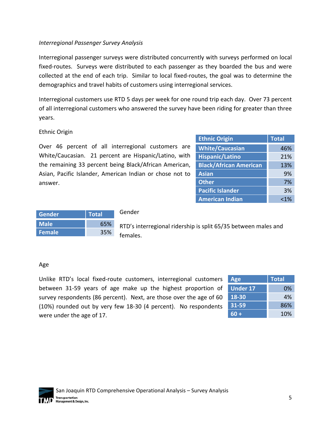## *Interregional Passenger Survey Analysis*

Interregional passenger surveys were distributed concurrently with surveys performed on local fixed-routes. Surveys were distributed to each passenger as they boarded the bus and were collected at the end of each trip. Similar to local fixed‐routes, the goal was to determine the demographics and travel habits of customers using interregional services.

Interregional customers use RTD 5 days per week for one round trip each day. Over 73 percent of all interregional customers who answered the survey have been riding for greater than three years.

Ethnic Origin

Over 46 percent of all interregional customers are White/Caucasian. 21 percent are Hispanic/Latino, with the remaining 33 percent being Black/African American, Asian, Pacific Islander, American Indian or chose not to answer.

| <b>Ethnic Origin</b>          | <b>Total</b> |
|-------------------------------|--------------|
| <b>White/Caucasian</b>        | 46%          |
| <b>Hispanic/Latino</b>        | 21%          |
| <b>Black/African American</b> | 13%          |
| <b>Asian</b>                  | 9%           |
| <b>Other</b>                  | 7%           |
| <b>Pacific Islander</b>       | 3%           |
| <b>American Indian</b>        | $< 1\%$      |

| Gender      | <b>Total</b> |  |
|-------------|--------------|--|
| <b>Male</b> | 65%          |  |
| Female      | 35%          |  |

#### Gender

RTD's interregional ridership is split 65/35 between males and females.

## Age

Unlike RTD's local fixed‐route customers, interregional customers between 31‐59 years of age make up the highest proportion of survey respondents (86 percent). Next, are those over the age of 60 (10%) rounded out by very few 18‐30 (4 percent). No respondents were under the age of 17.

| <b>Age</b>      | <b>Total</b> |
|-----------------|--------------|
| <b>Under 17</b> | 0%           |
| 18-30           | 4%           |
| 31-59           | 86%          |
| 60 +            | 10%          |

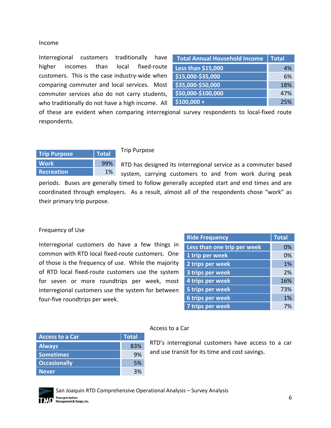#### Income

Interregional customers traditionally have higher incomes than local fixed-route customers. This is the case industry‐wide when comparing commuter and local services. Most commuter services also do not carry students, who traditionally do not have a high income. All

| <b>Total Annual Household Income</b> | <b>Total</b> |
|--------------------------------------|--------------|
| Less than \$15,000                   | 4%           |
| \$15,000-\$35,000                    | 6%           |
| \$35,000-\$50,000                    | 18%          |
| \$50,000-\$100,000                   | 47%          |
| $$100,000 +$                         | 25%          |

of these are evident when comparing interregional survey respondents to local‐fixed route respondents.

| <b>Trip Purpose</b> | <b>Total</b> |   |
|---------------------|--------------|---|
| <b>Work</b>         | 99%          | R |
| <b>Recreation</b>   | 1%           |   |

#### Trip Purpose

RTD has designed its interregional service as a commuter based system, carrying customers to and from work during peak

periods. Buses are generally timed to follow generally accepted start and end times and are coordinated through employers. As a result, almost all of the respondents chose "work" as their primary trip purpose.

#### Frequency of Use

Interregional customers do have a few things in common with RTD local fixed‐route customers. One of those is the frequency of use. While the majority of RTD local fixed‐route customers use the system for seven or more roundtrips per week, most interregional customers use the system for between four‐five roundtrips per week.

| <b>Ride Frequency</b>       | <b>Total</b> |
|-----------------------------|--------------|
| Less than one trip per week | 0%           |
| 1 trip per week             | 0%           |
| 2 trips per week            | 1%           |
| 3 trips per week            | 2%           |
| 4 trips per week            | 16%          |
| 5 trips per week            | 73%          |
| 6 trips per week            | 1%           |
| 7 trips per week            | 7%           |

| <b>Access to a Car</b> | <b>Total</b> |
|------------------------|--------------|
| <b>Always</b>          | 83%          |
| <b>Sometimes</b>       | 9%           |
| <b>Occasionally</b>    | .5%          |
| <b>Never</b>           | 3%           |

#### Access to a Car

RTD's interregional customers have access to a car and use transit for its time and cost savings.



San Joaquin RTD Comprehensive Operational Analysis – Survey Analysis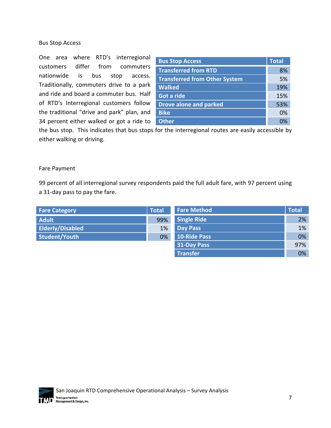#### Bus Stop Access

One area where RTD's interregional customers differ from commuters nationwide is bus stop access. Traditionally, commuters drive to a park and ride and board a commuter bus. Half of RTD's Interregional customers follow the traditional "drive and park" plan, and 34 percent either walked or got a ride to

| <b>Bus Stop Access</b>               | <b>Total</b> |
|--------------------------------------|--------------|
| <b>Transferred from RTD</b>          | 8%           |
| <b>Transferred from Other System</b> | 5%           |
| <b>Walked</b>                        | 19%          |
| Got a ride                           | 15%          |
| <b>Drove alone and parked</b>        | 53%          |
| <b>Bike</b>                          | 0%           |
| <b>Other</b>                         | n%           |

the bus stop. This indicates that bus stops for the interregional routes are easily accessible by either walking or driving.

#### Fare Payment

99 percent of all interregional survey respondents paid the full adult fare, with 97 percent using a 31‐day pass to pay the fare.

| <b>Fare Category</b>    | <b>Total</b> | <b>Fare Method</b>  | <b>Total</b> |
|-------------------------|--------------|---------------------|--------------|
| <b>Adult</b>            | 99%          | <b>Single Ride</b>  | 2%           |
| <b>Elderly/Disabled</b> | 1%           | <b>Day Pass</b>     | 1%           |
| Student/Youth           | 0%           | <b>10-Ride Pass</b> | 0%           |
|                         |              | <b>31-Day Pass</b>  | 97%          |
|                         |              | <b>Transfer</b>     | 0%           |

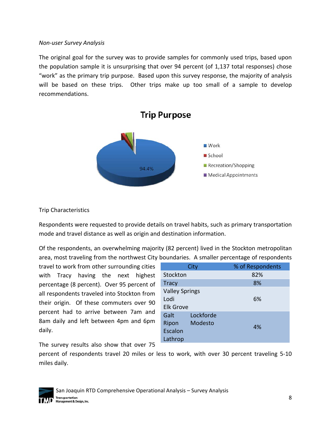#### *Non‐user Survey Analysis*

The original goal for the survey was to provide samples for commonly used trips, based upon the population sample it is unsurprising that over 94 percent (of 1,137 total responses) chose "work" as the primary trip purpose. Based upon this survey response, the majority of analysis will be based on these trips. Other trips make up too small of a sample to develop recommendations.



## Trip Characteristics

Respondents were requested to provide details on travel habits, such as primary transportation mode and travel distance as well as origin and destination information.

Of the respondents, an overwhelming majority (82 percent) lived in the Stockton metropolitan area, most traveling from the northwest City boundaries. A smaller percentage of respondents

travel to work from other surrounding cities with Tracy having the next highest percentage (8 percent). Over 95 percent of all respondents traveled into Stockton from their origin. Of these commuters over 90 percent had to arrive between 7am and 8am daily and left between 4pm and 6pm daily.

|                       | City      | % of Respondents |
|-----------------------|-----------|------------------|
| Stockton              |           | 82%              |
| <b>Tracy</b>          |           | 8%               |
| <b>Valley Springs</b> |           |                  |
| Lodi                  |           | 6%               |
| <b>Elk Grove</b>      |           |                  |
| Galt                  | Lockforde |                  |
| Ripon                 | Modesto   | 4%               |
| Escalon               |           |                  |
| Lathrop               |           |                  |

The survey results also show that over 75

percent of respondents travel 20 miles or less to work, with over 30 percent traveling 5‐10 miles daily.

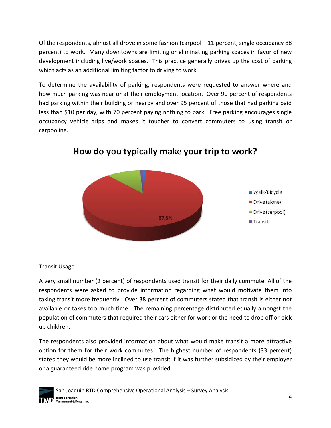Of the respondents, almost all drove in some fashion (carpool – 11 percent, single occupancy 88 percent) to work. Many downtowns are limiting or eliminating parking spaces in favor of new development including live/work spaces. This practice generally drives up the cost of parking which acts as an additional limiting factor to driving to work.

To determine the availability of parking, respondents were requested to answer where and how much parking was near or at their employment location. Over 90 percent of respondents had parking within their building or nearby and over 95 percent of those that had parking paid less than \$10 per day, with 70 percent paying nothing to park. Free parking encourages single occupancy vehicle trips and makes it tougher to convert commuters to using transit or carpooling.



## How do you typically make your trip to work?

Transit Usage

A very small number (2 percent) of respondents used transit for their daily commute. All of the respondents were asked to provide information regarding what would motivate them into taking transit more frequently. Over 38 percent of commuters stated that transit is either not available or takes too much time. The remaining percentage distributed equally amongst the population of commuters that required their cars either for work or the need to drop off or pick up children.

The respondents also provided information about what would make transit a more attractive option for them for their work commutes. The highest number of respondents (33 percent) stated they would be more inclined to use transit if it was further subsidized by their employer or a guaranteed ride home program was provided.